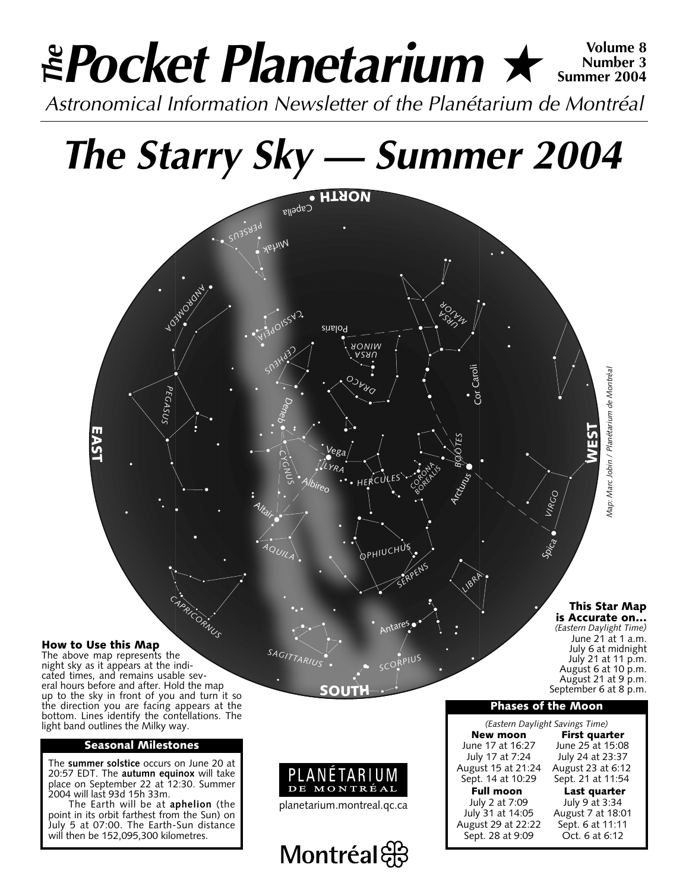### *Pocket Planetarium* ★ **Volume 8** *Astronomical Information Newsletter of the Planétarium de Montréal The* **Number 3 Summer 2004**

## *The Starry Sky — Summer 2004*



#### **How to Use this Map**

The above map represents the night sky as it appears at the indicated times, and remains usable several hours before and after. Hold the map up to the sky in front of you and turn it so the direction you are facing appears at the bottom. Lines identify the contellations. The light band outlines the Milky way.

#### **Seasonal Milestones**

The **summer solstice** occurs on June 20 at 20:57 EDT. The **autumn equinox** will take place on September 22 at 12:30. Summer 2004 will last 93d 15h 33m.

The Earth will be at **aphelion** (the point in its orbit farthest from the Sun) on July 5 at 07:00. The Earth-Sun distance will then be 152,095,300 kilometres.

*SAGITTARIUS*

**New moon** First quarter<br>June 17 at 16:27 June 25 at 15:08 August 15 at 21:24<br>Sept. 14 at 10:29

July 2 at 7:09 July 9 at 3:34 August 29 at 22:22 Sept. 6 at 11:11 Sept. 28 at 9:09

*(Eastern Daylight Savings Time)* une 17 at 16:27 June 25 at 15:08<br>July 17 at 7:24 July 24 at 23:37 July 24 at 23:37<br>August 23 at 6:12 Sept. 21 at 11:54

**Phases of the Moon**

*(Eastern Daylight Time)* June 21 at 1 a.m. July 6 at midnight July 21 at 11 p.m. August 6 at 10 p.m. August 21 at 9 p.m. September 6 at 8 p.m.

**Full moon Last quarter**<br>July 2 at 7:09 *July 9 at 3:34* August 7 at 18:01<br>Sept. 6 at 11:11



**SOUTH**

Antares,

*SCORPIUS*

planetarium.montreal.qc.ca

Montréal